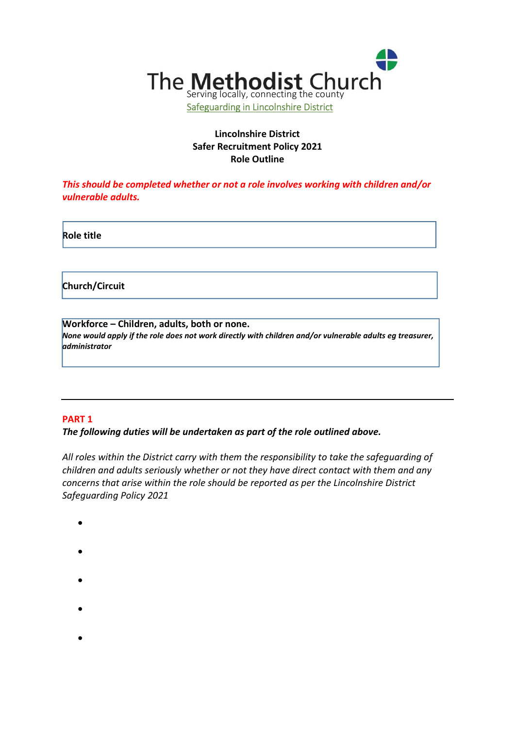

# Lincolnshire District Safer Recruitment Policy 2021 Role Outline

This should be completed whether or not a role involves working with children and/or vulnerable adults.

Role title

Church/Circuit

Workforce – Children, adults, both or none. None would apply if the role does not work directly with children and/or vulnerable adults eg treasurer, administrator

## PART 1

## The following duties will be undertaken as part of the role outlined above.

All roles within the District carry with them the responsibility to take the safeguarding of children and adults seriously whether or not they have direct contact with them and any concerns that arise within the role should be reported as per the Lincolnshire District Safeguarding Policy 2021

- $\bullet$
- $\bullet$
- $\bullet$
- 
- $\bullet$

 $\bullet$